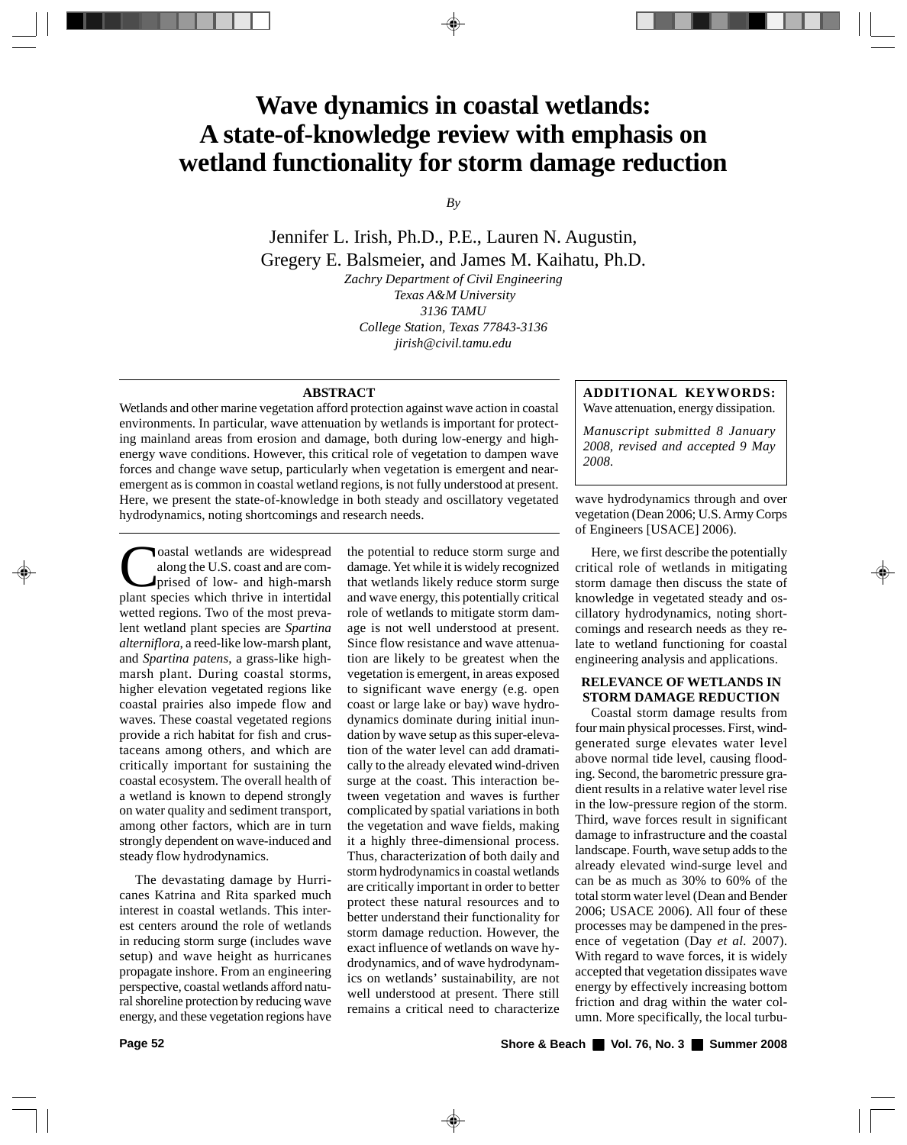# **Wave dynamics in coastal wetlands: A state-of-knowledge review with emphasis on wetland functionality for storm damage reduction**

*By*

Jennifer L. Irish, Ph.D., P.E., Lauren N. Augustin, Gregery E. Balsmeier, and James M. Kaihatu, Ph.D.

> *Zachry Department of Civil Engineering Texas A&M University 3136 TAMU College Station, Texas 77843-3136 jirish@civil.tamu.edu*

#### **ABSTRACT**

Wetlands and other marine vegetation afford protection against wave action in coastal environments. In particular, wave attenuation by wetlands is important for protecting mainland areas from erosion and damage, both during low-energy and highenergy wave conditions. However, this critical role of vegetation to dampen wave forces and change wave setup, particularly when vegetation is emergent and nearemergent as is common in coastal wetland regions, is not fully understood at present. Here, we present the state-of-knowledge in both steady and oscillatory vegetated hydrodynamics, noting shortcomings and research needs.

Coastal wetlands are widespread<br>along the U.S. coast and are com-<br>prised of low- and high-marsh along the U.S. coast and are comprised of low- and high-marsh plant species which thrive in intertidal wetted regions. Two of the most prevalent wetland plant species are *Spartina alterniflora*, a reed-like low-marsh plant, and *Spartina patens*, a grass-like highmarsh plant. During coastal storms, higher elevation vegetated regions like coastal prairies also impede flow and waves. These coastal vegetated regions provide a rich habitat for fish and crustaceans among others, and which are critically important for sustaining the coastal ecosystem. The overall health of a wetland is known to depend strongly on water quality and sediment transport, among other factors, which are in turn strongly dependent on wave-induced and steady flow hydrodynamics.

The devastating damage by Hurricanes Katrina and Rita sparked much interest in coastal wetlands. This interest centers around the role of wetlands in reducing storm surge (includes wave setup) and wave height as hurricanes propagate inshore. From an engineering perspective, coastal wetlands afford natural shoreline protection by reducing wave energy, and these vegetation regions have

the potential to reduce storm surge and damage. Yet while it is widely recognized that wetlands likely reduce storm surge and wave energy, this potentially critical role of wetlands to mitigate storm damage is not well understood at present. Since flow resistance and wave attenuation are likely to be greatest when the vegetation is emergent, in areas exposed to significant wave energy (e.g. open coast or large lake or bay) wave hydrodynamics dominate during initial inundation by wave setup as this super-elevation of the water level can add dramatically to the already elevated wind-driven surge at the coast. This interaction between vegetation and waves is further complicated by spatial variations in both the vegetation and wave fields, making it a highly three-dimensional process. Thus, characterization of both daily and storm hydrodynamics in coastal wetlands are critically important in order to better protect these natural resources and to better understand their functionality for storm damage reduction. However, the exact influence of wetlands on wave hydrodynamics, and of wave hydrodynamics on wetlands' sustainability, are not well understood at present. There still remains a critical need to characterize

## **ADDITIONAL KEYWORDS:**

Wave attenuation, energy dissipation.

*Manuscript submitted 8 January 2008, revised and accepted 9 May 2008.*

wave hydrodynamics through and over vegetation (Dean 2006; U.S. Army Corps of Engineers [USACE] 2006).

Here, we first describe the potentially critical role of wetlands in mitigating storm damage then discuss the state of knowledge in vegetated steady and oscillatory hydrodynamics, noting shortcomings and research needs as they relate to wetland functioning for coastal engineering analysis and applications.

### **RELEVANCE OF WETLANDS IN STORM DAMAGE REDUCTION**

Coastal storm damage results from four main physical processes. First, windgenerated surge elevates water level above normal tide level, causing flooding. Second, the barometric pressure gradient results in a relative water level rise in the low-pressure region of the storm. Third, wave forces result in significant damage to infrastructure and the coastal landscape. Fourth, wave setup adds to the already elevated wind-surge level and can be as much as 30% to 60% of the total storm water level (Dean and Bender 2006; USACE 2006). All four of these processes may be dampened in the presence of vegetation (Day *et al.* 2007). With regard to wave forces, it is widely accepted that vegetation dissipates wave energy by effectively increasing bottom friction and drag within the water column. More specifically, the local turbu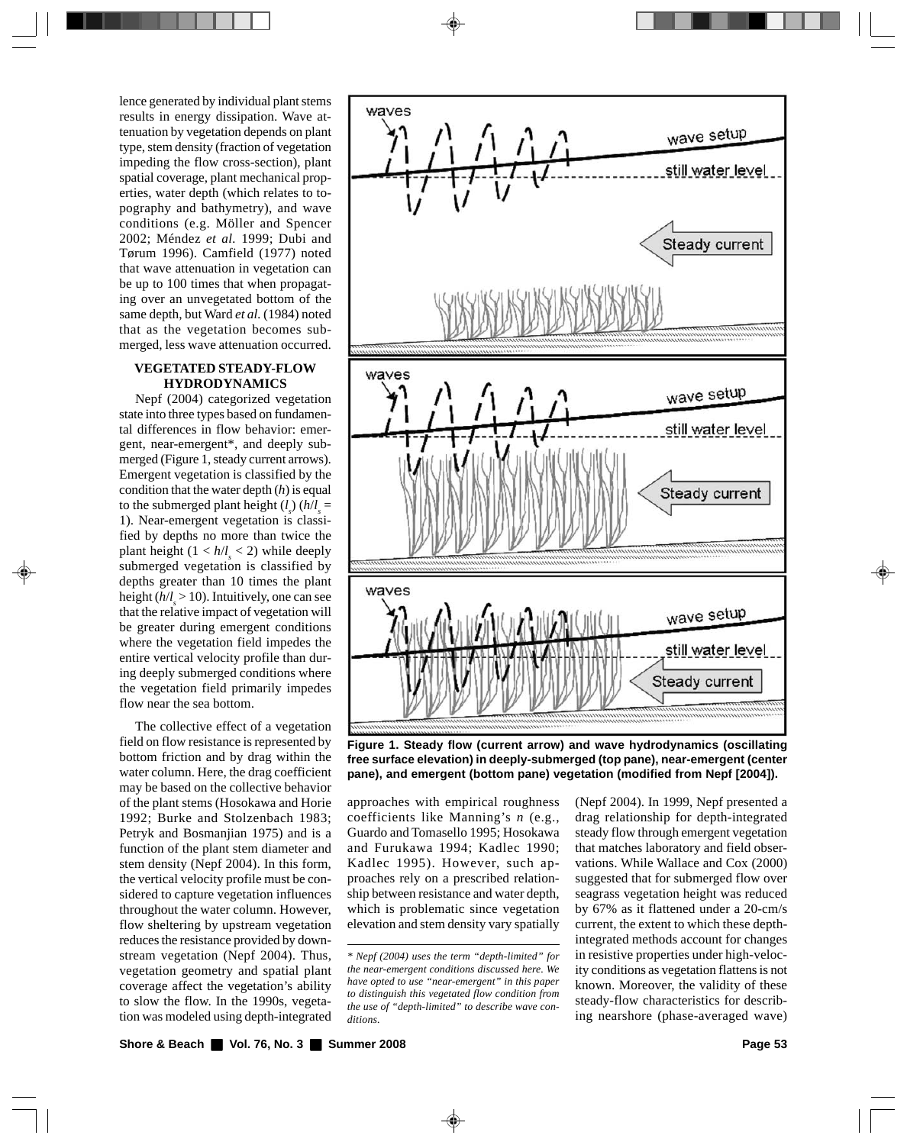lence generated by individual plant stems results in energy dissipation. Wave attenuation by vegetation depends on plant type, stem density (fraction of vegetation impeding the flow cross-section), plant spatial coverage, plant mechanical properties, water depth (which relates to topography and bathymetry), and wave conditions (e.g. Möller and Spencer 2002; Méndez *et al.* 1999; Dubi and Tørum 1996). Camfield (1977) noted that wave attenuation in vegetation can be up to 100 times that when propagating over an unvegetated bottom of the same depth, but Ward *et al.* (1984) noted that as the vegetation becomes submerged, less wave attenuation occurred.

### **VEGETATED STEADY-FLOW HYDRODYNAMICS**

Nepf (2004) categorized vegetation state into three types based on fundamental differences in flow behavior: emergent, near-emergent\*, and deeply submerged (Figure 1, steady current arrows). Emergent vegetation is classified by the condition that the water depth (*h*) is equal to the submerged plant height  $(l_s)$   $(h/l_s =$ 1). Near-emergent vegetation is classified by depths no more than twice the plant height  $(1 < h/l_s < 2)$  while deeply submerged vegetation is classified by depths greater than 10 times the plant height  $(h/l_s > 10)$ . Intuitively, one can see that the relative impact of vegetation will be greater during emergent conditions where the vegetation field impedes the entire vertical velocity profile than during deeply submerged conditions where the vegetation field primarily impedes flow near the sea bottom.

The collective effect of a vegetation field on flow resistance is represented by bottom friction and by drag within the water column. Here, the drag coefficient may be based on the collective behavior of the plant stems (Hosokawa and Horie 1992; Burke and Stolzenbach 1983; Petryk and Bosmanjian 1975) and is a function of the plant stem diameter and stem density (Nepf 2004). In this form, the vertical velocity profile must be considered to capture vegetation influences throughout the water column. However, flow sheltering by upstream vegetation reduces the resistance provided by downstream vegetation (Nepf 2004). Thus, vegetation geometry and spatial plant coverage affect the vegetation's ability to slow the flow. In the 1990s, vegetation was modeled using depth-integrated



**Figure 1. Steady flow (current arrow) and wave hydrodynamics (oscillating free surface elevation) in deeply-submerged (top pane), near-emergent (center pane), and emergent (bottom pane) vegetation (modified from Nepf [2004]).**

approaches with empirical roughness coefficients like Manning's *n* (e.g., Guardo and Tomasello 1995; Hosokawa and Furukawa 1994; Kadlec 1990; Kadlec 1995). However, such approaches rely on a prescribed relationship between resistance and water depth, which is problematic since vegetation elevation and stem density vary spatially (Nepf 2004). In 1999, Nepf presented a drag relationship for depth-integrated steady flow through emergent vegetation that matches laboratory and field observations. While Wallace and Cox (2000) suggested that for submerged flow over seagrass vegetation height was reduced by 67% as it flattened under a 20-cm/s current, the extent to which these depthintegrated methods account for changes in resistive properties under high-velocity conditions as vegetation flattens is not known. Moreover, the validity of these steady-flow characteristics for describing nearshore (phase-averaged wave)

*<sup>\*</sup> Nepf (2004) uses the term "depth-limited" for the near-emergent conditions discussed here. We have opted to use "near-emergent" in this paper to distinguish this vegetated flow condition from the use of "depth-limited" to describe wave conditions.*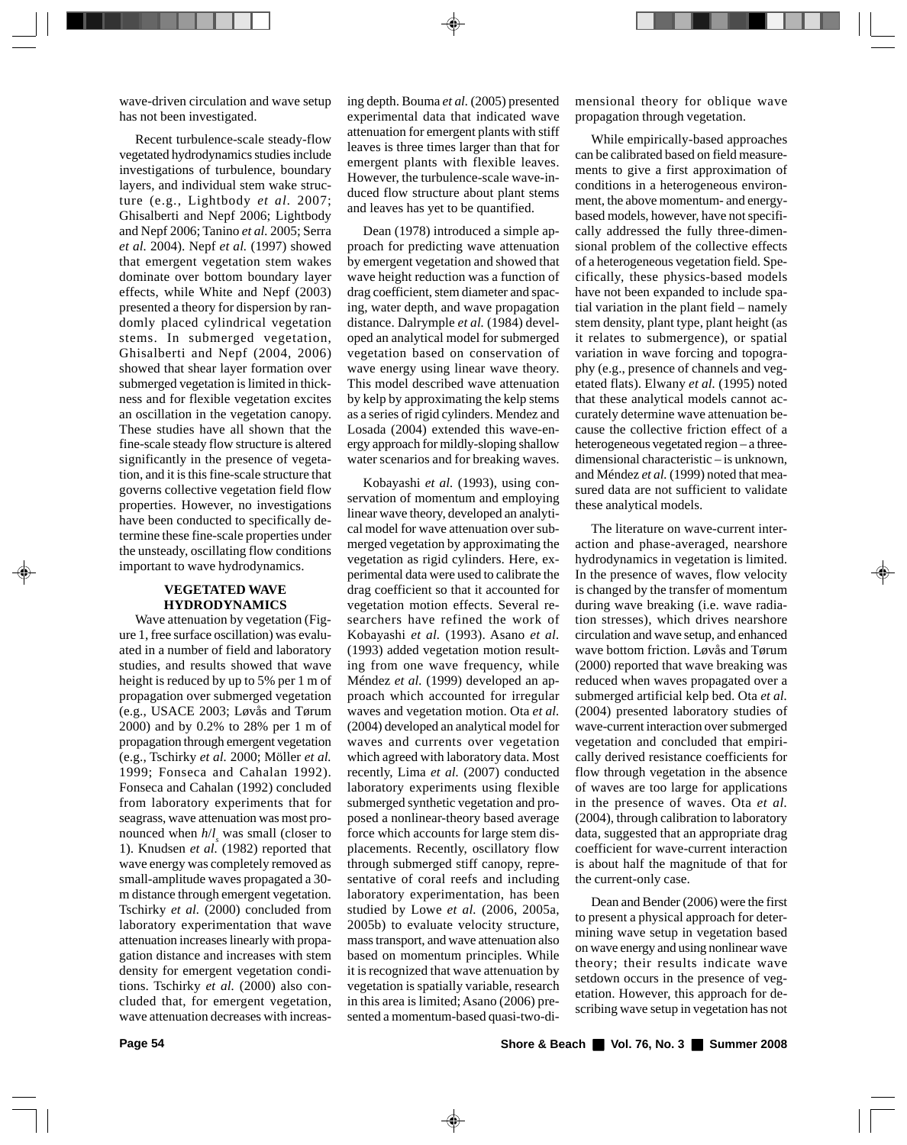wave-driven circulation and wave setup has not been investigated.

Recent turbulence-scale steady-flow vegetated hydrodynamics studies include investigations of turbulence, boundary layers, and individual stem wake structure (e.g., Lightbody *et al.* 2007; Ghisalberti and Nepf 2006; Lightbody and Nepf 2006; Tanino *et al.* 2005; Serra *et al.* 2004). Nepf *et al.* (1997) showed that emergent vegetation stem wakes dominate over bottom boundary layer effects, while White and Nepf (2003) presented a theory for dispersion by randomly placed cylindrical vegetation stems. In submerged vegetation, Ghisalberti and Nepf (2004, 2006) showed that shear layer formation over submerged vegetation is limited in thickness and for flexible vegetation excites an oscillation in the vegetation canopy. These studies have all shown that the fine-scale steady flow structure is altered significantly in the presence of vegetation, and it is this fine-scale structure that governs collective vegetation field flow properties. However, no investigations have been conducted to specifically determine these fine-scale properties under the unsteady, oscillating flow conditions important to wave hydrodynamics.

#### **VEGETATED WAVE HYDRODYNAMICS**

Wave attenuation by vegetation (Figure 1, free surface oscillation) was evaluated in a number of field and laboratory studies, and results showed that wave height is reduced by up to 5% per 1 m of propagation over submerged vegetation (e.g., USACE 2003; Løvås and Tørum 2000) and by 0.2% to 28% per 1 m of propagation through emergent vegetation (e.g., Tschirky *et al.* 2000; Möller *et al.* 1999; Fonseca and Cahalan 1992). Fonseca and Cahalan (1992) concluded from laboratory experiments that for seagrass, wave attenuation was most pronounced when  $h/l_s$  was small (closer to 1). Knudsen *et al.* (1982) reported that wave energy was completely removed as small-amplitude waves propagated a 30 m distance through emergent vegetation. Tschirky *et al.* (2000) concluded from laboratory experimentation that wave attenuation increases linearly with propagation distance and increases with stem density for emergent vegetation conditions. Tschirky *et al.* (2000) also concluded that, for emergent vegetation, wave attenuation decreases with increasing depth. Bouma *et al.* (2005) presented experimental data that indicated wave attenuation for emergent plants with stiff leaves is three times larger than that for emergent plants with flexible leaves. However, the turbulence-scale wave-induced flow structure about plant stems and leaves has yet to be quantified.

Dean (1978) introduced a simple approach for predicting wave attenuation by emergent vegetation and showed that wave height reduction was a function of drag coefficient, stem diameter and spacing, water depth, and wave propagation distance. Dalrymple *et al.* (1984) developed an analytical model for submerged vegetation based on conservation of wave energy using linear wave theory. This model described wave attenuation by kelp by approximating the kelp stems as a series of rigid cylinders. Mendez and Losada (2004) extended this wave-energy approach for mildly-sloping shallow water scenarios and for breaking waves.

Kobayashi *et al.* (1993), using conservation of momentum and employing linear wave theory, developed an analytical model for wave attenuation over submerged vegetation by approximating the vegetation as rigid cylinders. Here, experimental data were used to calibrate the drag coefficient so that it accounted for vegetation motion effects. Several researchers have refined the work of Kobayashi *et al.* (1993). Asano *et al.* (1993) added vegetation motion resulting from one wave frequency, while Méndez *et al.* (1999) developed an approach which accounted for irregular waves and vegetation motion. Ota *et al.* (2004) developed an analytical model for waves and currents over vegetation which agreed with laboratory data. Most recently, Lima *et al.* (2007) conducted laboratory experiments using flexible submerged synthetic vegetation and proposed a nonlinear-theory based average force which accounts for large stem displacements. Recently, oscillatory flow through submerged stiff canopy, representative of coral reefs and including laboratory experimentation, has been studied by Lowe *et al.* (2006, 2005a, 2005b) to evaluate velocity structure, mass transport, and wave attenuation also based on momentum principles. While it is recognized that wave attenuation by vegetation is spatially variable, research in this area is limited; Asano (2006) presented a momentum-based quasi-two-dimensional theory for oblique wave propagation through vegetation.

While empirically-based approaches can be calibrated based on field measurements to give a first approximation of conditions in a heterogeneous environment, the above momentum- and energybased models, however, have not specifically addressed the fully three-dimensional problem of the collective effects of a heterogeneous vegetation field. Specifically, these physics-based models have not been expanded to include spatial variation in the plant field – namely stem density, plant type, plant height (as it relates to submergence), or spatial variation in wave forcing and topography (e.g., presence of channels and vegetated flats). Elwany *et al.* (1995) noted that these analytical models cannot accurately determine wave attenuation because the collective friction effect of a heterogeneous vegetated region – a threedimensional characteristic – is unknown, and Méndez *et al.* (1999) noted that measured data are not sufficient to validate these analytical models.

The literature on wave-current interaction and phase-averaged, nearshore hydrodynamics in vegetation is limited. In the presence of waves, flow velocity is changed by the transfer of momentum during wave breaking (i.e. wave radiation stresses), which drives nearshore circulation and wave setup, and enhanced wave bottom friction. Løvås and Tørum (2000) reported that wave breaking was reduced when waves propagated over a submerged artificial kelp bed. Ota *et al.* (2004) presented laboratory studies of wave-current interaction over submerged vegetation and concluded that empirically derived resistance coefficients for flow through vegetation in the absence of waves are too large for applications in the presence of waves. Ota *et al.* (2004), through calibration to laboratory data, suggested that an appropriate drag coefficient for wave-current interaction is about half the magnitude of that for the current-only case.

Dean and Bender (2006) were the first to present a physical approach for determining wave setup in vegetation based on wave energy and using nonlinear wave theory; their results indicate wave setdown occurs in the presence of vegetation. However, this approach for describing wave setup in vegetation has not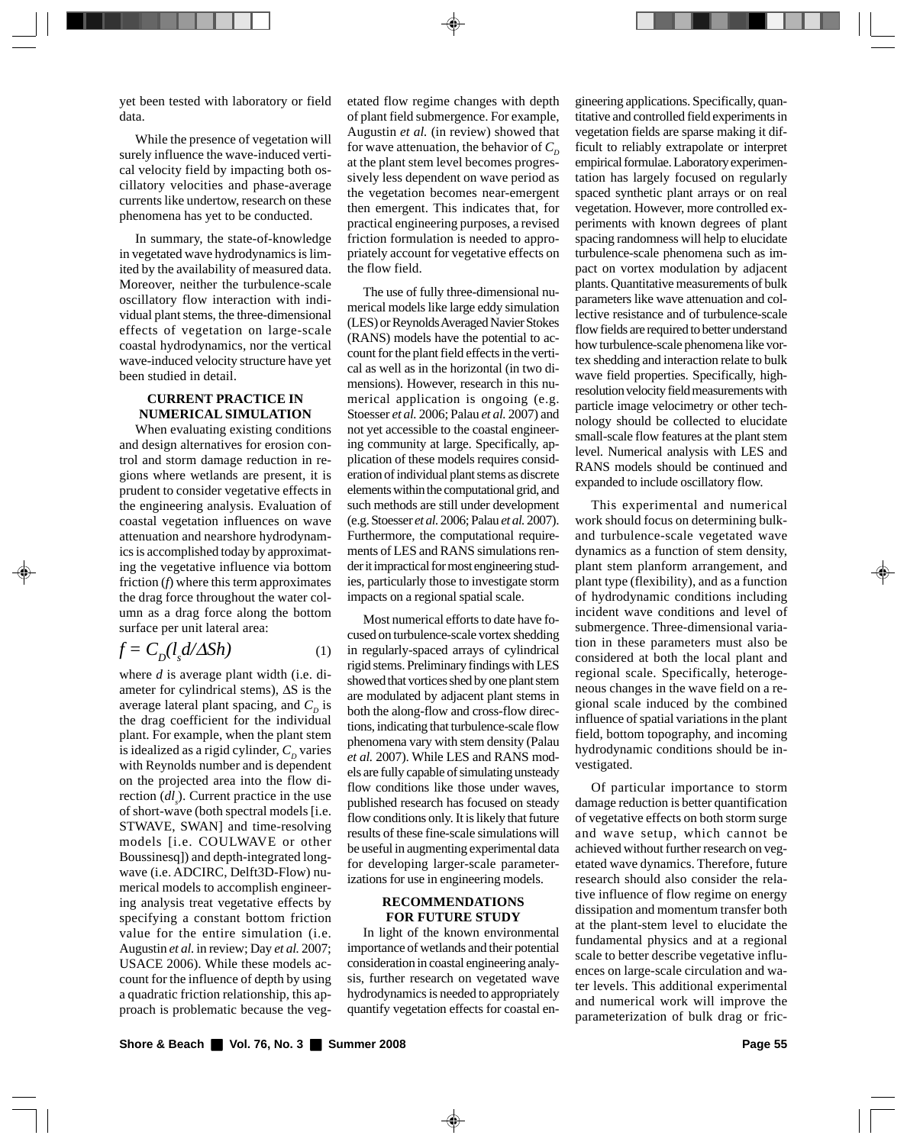yet been tested with laboratory or field data.

While the presence of vegetation will surely influence the wave-induced vertical velocity field by impacting both oscillatory velocities and phase-average currents like undertow, research on these phenomena has yet to be conducted.

In summary, the state-of-knowledge in vegetated wave hydrodynamics is limited by the availability of measured data. Moreover, neither the turbulence-scale oscillatory flow interaction with individual plant stems, the three-dimensional effects of vegetation on large-scale coastal hydrodynamics, nor the vertical wave-induced velocity structure have yet been studied in detail.

### **CURRENT PRACTICE IN NUMERICAL SIMULATION**

When evaluating existing conditions and design alternatives for erosion control and storm damage reduction in regions where wetlands are present, it is prudent to consider vegetative effects in the engineering analysis. Evaluation of coastal vegetation influences on wave attenuation and nearshore hydrodynamics is accomplished today by approximating the vegetative influence via bottom friction (*f*) where this term approximates the drag force throughout the water column as a drag force along the bottom surface per unit lateral area:

$$
f = C_D(l_s d/\Delta Sh) \tag{1}
$$

where *d* is average plant width (i.e. diameter for cylindrical stems),  $\Delta S$  is the average lateral plant spacing, and  $C_p$  is the drag coefficient for the individual plant. For example, when the plant stem is idealized as a rigid cylinder,  $C_p$  varies with Reynolds number and is dependent on the projected area into the flow direction (*dl<sub>s</sub>*). Current practice in the use of short-wave (both spectral models [i.e. STWAVE, SWAN] and time-resolving models [i.e. COULWAVE or other Boussinesq]) and depth-integrated longwave (i.e. ADCIRC, Delft3D-Flow) numerical models to accomplish engineering analysis treat vegetative effects by specifying a constant bottom friction value for the entire simulation (i.e. Augustin *et al.* in review; Day *et al.* 2007; USACE 2006). While these models account for the influence of depth by using a quadratic friction relationship, this approach is problematic because the vegetated flow regime changes with depth of plant field submergence. For example, Augustin *et al.* (in review) showed that for wave attenuation, the behavior of  $C_p$ at the plant stem level becomes progressively less dependent on wave period as the vegetation becomes near-emergent then emergent. This indicates that, for practical engineering purposes, a revised friction formulation is needed to appropriately account for vegetative effects on the flow field.

The use of fully three-dimensional numerical models like large eddy simulation (LES) or Reynolds Averaged Navier Stokes (RANS) models have the potential to account for the plant field effects in the vertical as well as in the horizontal (in two dimensions). However, research in this numerical application is ongoing (e.g. Stoesser *et al.* 2006; Palau *et al.* 2007) and not yet accessible to the coastal engineering community at large. Specifically, application of these models requires consideration of individual plant stems as discrete elements within the computational grid, and such methods are still under development (e.g. Stoesser *et al.* 2006; Palau *et al.* 2007). Furthermore, the computational requirements of LES and RANS simulations render it impractical for most engineering studies, particularly those to investigate storm impacts on a regional spatial scale.

Most numerical efforts to date have focused on turbulence-scale vortex shedding in regularly-spaced arrays of cylindrical rigid stems. Preliminary findings with LES showed that vortices shed by one plant stem are modulated by adjacent plant stems in both the along-flow and cross-flow directions, indicating that turbulence-scale flow phenomena vary with stem density (Palau *et al.* 2007). While LES and RANS models are fully capable of simulating unsteady flow conditions like those under waves, published research has focused on steady flow conditions only. It is likely that future results of these fine-scale simulations will be useful in augmenting experimental data for developing larger-scale parameterizations for use in engineering models.

#### **RECOMMENDATIONS FOR FUTURE STUDY**

In light of the known environmental importance of wetlands and their potential consideration in coastal engineering analysis, further research on vegetated wave hydrodynamics is needed to appropriately quantify vegetation effects for coastal engineering applications. Specifically, quantitative and controlled field experiments in vegetation fields are sparse making it difficult to reliably extrapolate or interpret empirical formulae. Laboratory experimentation has largely focused on regularly spaced synthetic plant arrays or on real vegetation. However, more controlled experiments with known degrees of plant spacing randomness will help to elucidate turbulence-scale phenomena such as impact on vortex modulation by adjacent plants. Quantitative measurements of bulk parameters like wave attenuation and collective resistance and of turbulence-scale flow fields are required to better understand how turbulence-scale phenomena like vortex shedding and interaction relate to bulk wave field properties. Specifically, highresolution velocity field measurements with particle image velocimetry or other technology should be collected to elucidate small-scale flow features at the plant stem level. Numerical analysis with LES and RANS models should be continued and expanded to include oscillatory flow.

This experimental and numerical work should focus on determining bulkand turbulence-scale vegetated wave dynamics as a function of stem density, plant stem planform arrangement, and plant type (flexibility), and as a function of hydrodynamic conditions including incident wave conditions and level of submergence. Three-dimensional variation in these parameters must also be considered at both the local plant and regional scale. Specifically, heterogeneous changes in the wave field on a regional scale induced by the combined influence of spatial variations in the plant field, bottom topography, and incoming hydrodynamic conditions should be investigated.

Of particular importance to storm damage reduction is better quantification of vegetative effects on both storm surge and wave setup, which cannot be achieved without further research on vegetated wave dynamics. Therefore, future research should also consider the relative influence of flow regime on energy dissipation and momentum transfer both at the plant-stem level to elucidate the fundamental physics and at a regional scale to better describe vegetative influences on large-scale circulation and water levels. This additional experimental and numerical work will improve the parameterization of bulk drag or fric